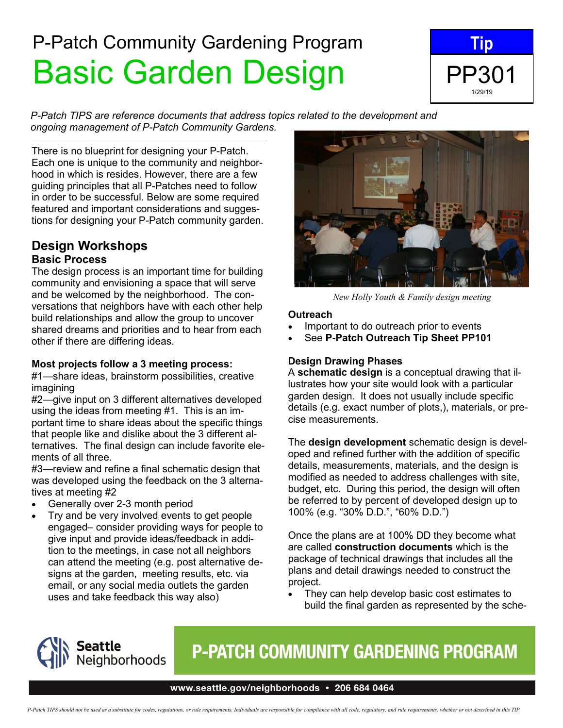# P-Patch Community Gardening Program Basic Garden Design



*P-Patch TIPS are reference documents that address topics related to the development and ongoing management of P-Patch Community Gardens.*

There is no blueprint for designing your P-Patch. Each one is unique to the community and neighborhood in which is resides. However, there are a few guiding principles that all P-Patches need to follow in order to be successful. Below are some required featured and important considerations and suggestions for designing your P-Patch community garden.

### **Design Workshops Basic Process**

The design process is an important time for building community and envisioning a space that will serve and be welcomed by the neighborhood. The conversations that neighbors have with each other help build relationships and allow the group to uncover shared dreams and priorities and to hear from each other if there are differing ideas.

### **Most projects follow a 3 meeting process:**

#1—share ideas, brainstorm possibilities, creative imagining

#2—give input on 3 different alternatives developed using the ideas from meeting #1. This is an important time to share ideas about the specific things that people like and dislike about the 3 different alternatives. The final design can include favorite elements of all three.

#3—review and refine a final schematic design that was developed using the feedback on the 3 alternatives at meeting #2

- Generally over 2-3 month period
- Try and be very involved events to get people engaged– consider providing ways for people to give input and provide ideas/feedback in addition to the meetings, in case not all neighbors can attend the meeting (e.g. post alternative designs at the garden, meeting results, etc. via email, or any social media outlets the garden uses and take feedback this way also)



*New Holly Youth & Family design meeting*

### **Outreach**

- Important to do outreach prior to events
- See **P-Patch Outreach Tip Sheet PP101**

### **Design Drawing Phases**

A **schematic design** is a conceptual drawing that illustrates how your site would look with a particular garden design. It does not usually include specific details (e.g. exact number of plots,), materials, or precise measurements.

The **design development** schematic design is developed and refined further with the addition of specific details, measurements, materials, and the design is modified as needed to address challenges with site, budget, etc. During this period, the design will often be referred to by percent of developed design up to 100% (e.g. "30% D.D.", "60% D.D.")

Once the plans are at 100% DD they become what are called **construction documents** which is the package of technical drawings that includes all the plans and detail drawings needed to construct the project.

They can help develop basic cost estimates to build the final garden as represented by the sche-



# **P-PATCH COMMUNITY GARDENING PROGRAM**

#### www.seattle.gov/neighborhoods · 206 684 0464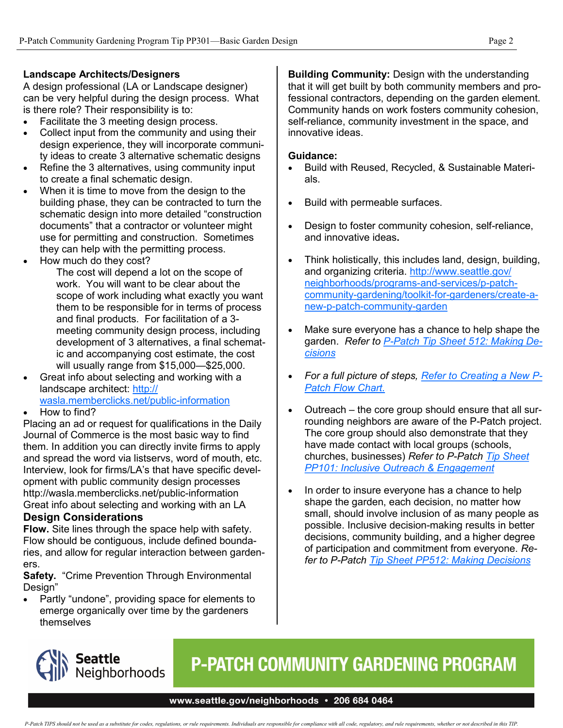### **Landscape Architects/Designers**

A design professional (LA or Landscape designer) can be very helpful during the design process. What is there role? Their responsibility is to:

- Facilitate the 3 meeting design process.
- Collect input from the community and using their design experience, they will incorporate community ideas to create 3 alternative schematic designs
- Refine the 3 alternatives, using community input to create a final schematic design.
- When it is time to move from the design to the building phase, they can be contracted to turn the schematic design into more detailed "construction documents" that a contractor or volunteer might use for permitting and construction. Sometimes they can help with the permitting process.
- How much do they cost?

The cost will depend a lot on the scope of work. You will want to be clear about the scope of work including what exactly you want them to be responsible for in terms of process and final products. For facilitation of a 3 meeting community design process, including development of 3 alternatives, a final schematic and accompanying cost estimate, the cost will usually range from \$15,000—\$25,000.

- Great info about selecting and working with a landscape architect: [http://](http://wasla.memberclicks.net/public-information) [wasla.memberclicks.net/public](http://wasla.memberclicks.net/public-information)-information
- How to find?

Placing an ad or request for qualifications in the Daily Journal of Commerce is the most basic way to find them. In addition you can directly invite firms to apply and spread the word via listservs, word of mouth, etc. Interview, look for firms/LA's that have specific development with public community design processes http://wasla.memberclicks.net/public-information Great info about selecting and working with an LA **Design Considerations**

### **Flow.** Site lines through the space help with safety.

Flow should be contiguous, include defined boundaries, and allow for regular interaction between gardeners.

**Safety.** "Crime Prevention Through Environmental Design"

• Partly "undone", providing space for elements to emerge organically over time by the gardeners themselves

**Building Community:** Design with the understanding that it will get built by both community members and professional contractors, depending on the garden element. Community hands on work fosters community cohesion, self-reliance, community investment in the space, and innovative ideas.

### **Guidance:**

- Build with Reused, Recycled, & Sustainable Materials.
- Build with permeable surfaces.
- Design to foster community cohesion, self-reliance, and innovative ideas**.**
- Think holistically, this includes land, design, building, and organizing criteria. [http://www.seattle.gov/](http://www.seattle.gov/neighborhoods/programs-and-services/p-patch-community-gardening/toolkit-for-gardeners/create-a-new-p-patch-community-garden) [neighborhoods/programs](http://www.seattle.gov/neighborhoods/programs-and-services/p-patch-community-gardening/toolkit-for-gardeners/create-a-new-p-patch-community-garden)-and-services/p-patchcommunity-gardening/toolkit-for-[gardeners/create](http://www.seattle.gov/neighborhoods/programs-and-services/p-patch-community-gardening/toolkit-for-gardeners/create-a-new-p-patch-community-garden)-anew-p-patch-[community](http://www.seattle.gov/neighborhoods/programs-and-services/p-patch-community-gardening/toolkit-for-gardeners/create-a-new-p-patch-community-garden)-garden
- Make sure everyone has a chance to help shape the garden. *Refer to P-[Patch Tip Sheet 512: Making De](http://www.seattle.gov/Documents/Departments/Neighborhoods/PPatch/Tips/512%20Making%20Decisions.pdf)[cisions](http://www.seattle.gov/Documents/Departments/Neighborhoods/PPatch/Tips/512%20Making%20Decisions.pdf)*
- *For a full picture of steps, [Refer to Creating a New P](http://www.seattle.gov/Documents/Departments/Neighborhoods/PPatch/Starting_a_new_P-Patch_flowchart2018.pdf)-[Patch Flow Chart.](http://www.seattle.gov/Documents/Departments/Neighborhoods/PPatch/Starting_a_new_P-Patch_flowchart2018.pdf)*
- Outreach the core group should ensure that all surrounding neighbors are aware of the P-Patch project. The core group should also demonstrate that they have made contact with local groups (schools, churches, businesses) *Refer to P-Patch [Tip Sheet](http://www.seattle.gov/Documents/Departments/Neighborhoods/PPatch/Inclusive-Outreach.pdf)  [PP101: Inclusive Outreach & Engagement](http://www.seattle.gov/Documents/Departments/Neighborhoods/PPatch/Inclusive-Outreach.pdf)*
- In order to insure everyone has a chance to help shape the garden, each decision, no matter how small, should involve inclusion of as many people as possible. Inclusive decision-making results in better decisions, community building, and a higher degree of participation and commitment from everyone. *Refer to P-Patch [Tip Sheet PP512: Making Decisions](http://www.seattle.gov/Documents/Departments/Neighborhoods/PPatch/Tips/512%20Making%20Decisions.pdf)*



# **P-PATCH COMMUNITY GARDENING PROGRAM**

#### www.seattle.gov/neighborhoods • 206 684 0464

P-Patch TIPS should not be used as a substitute for codes, regulations, or rule requirements. Individuals are responsible for compliance with all code, regulatory, and rule requirements, whether or not described in this TI